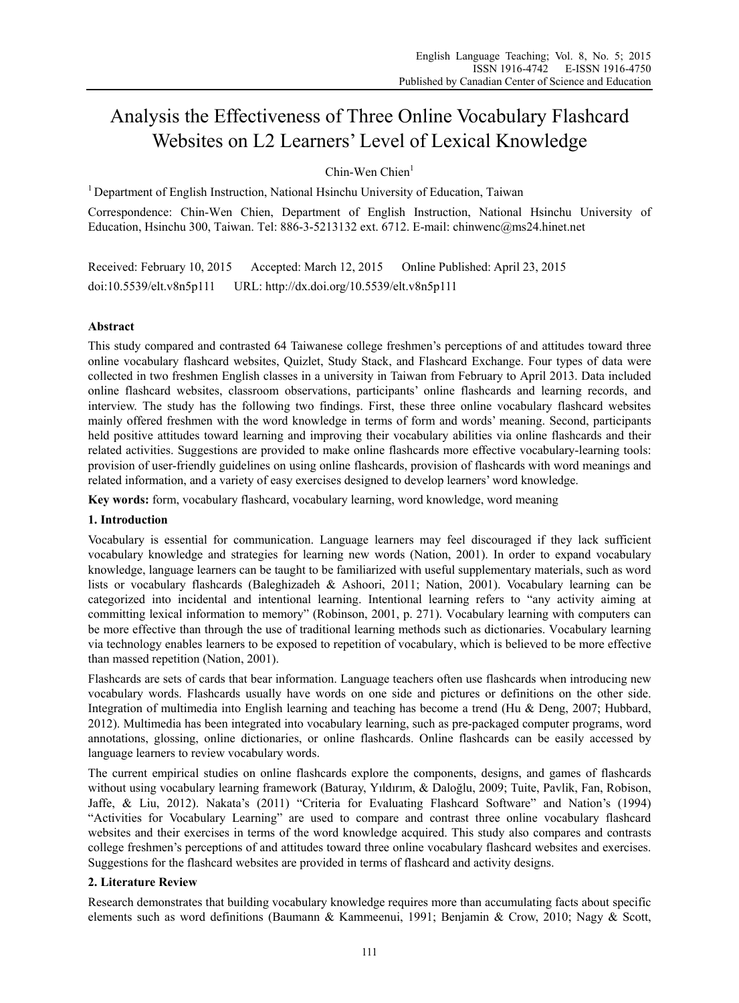# Analysis the Effectiveness of Three Online Vocabulary Flashcard Websites on L2 Learners' Level of Lexical Knowledge

 $Chin-Wen Chien<sup>1</sup>$ 

<sup>1</sup> Department of English Instruction, National Hsinchu University of Education, Taiwan

Correspondence: Chin-Wen Chien, Department of English Instruction, National Hsinchu University of Education, Hsinchu 300, Taiwan. Tel: 886-3-5213132 ext. 6712. E-mail: chinwenc@ms24.hinet.net

Received: February 10, 2015 Accepted: March 12, 2015 Online Published: April 23, 2015 doi:10.5539/elt.v8n5p111 URL: http://dx.doi.org/10.5539/elt.v8n5p111

# **Abstract**

This study compared and contrasted 64 Taiwanese college freshmen's perceptions of and attitudes toward three online vocabulary flashcard websites, Quizlet, Study Stack, and Flashcard Exchange. Four types of data were collected in two freshmen English classes in a university in Taiwan from February to April 2013. Data included online flashcard websites, classroom observations, participants' online flashcards and learning records, and interview. The study has the following two findings. First, these three online vocabulary flashcard websites mainly offered freshmen with the word knowledge in terms of form and words' meaning. Second, participants held positive attitudes toward learning and improving their vocabulary abilities via online flashcards and their related activities. Suggestions are provided to make online flashcards more effective vocabulary-learning tools: provision of user-friendly guidelines on using online flashcards, provision of flashcards with word meanings and related information, and a variety of easy exercises designed to develop learners' word knowledge.

**Key words:** form, vocabulary flashcard, vocabulary learning, word knowledge, word meaning

# **1. Introduction**

Vocabulary is essential for communication. Language learners may feel discouraged if they lack sufficient vocabulary knowledge and strategies for learning new words (Nation, 2001). In order to expand vocabulary knowledge, language learners can be taught to be familiarized with useful supplementary materials, such as word lists or vocabulary flashcards (Baleghizadeh & Ashoori, 2011; Nation, 2001). Vocabulary learning can be categorized into incidental and intentional learning. Intentional learning refers to "any activity aiming at committing lexical information to memory" (Robinson, 2001, p. 271). Vocabulary learning with computers can be more effective than through the use of traditional learning methods such as dictionaries. Vocabulary learning via technology enables learners to be exposed to repetition of vocabulary, which is believed to be more effective than massed repetition (Nation, 2001).

Flashcards are sets of cards that bear information. Language teachers often use flashcards when introducing new vocabulary words. Flashcards usually have words on one side and pictures or definitions on the other side. Integration of multimedia into English learning and teaching has become a trend (Hu & Deng, 2007; Hubbard, 2012). Multimedia has been integrated into vocabulary learning, such as pre-packaged computer programs, word annotations, glossing, online dictionaries, or online flashcards. Online flashcards can be easily accessed by language learners to review vocabulary words.

The current empirical studies on online flashcards explore the components, designs, and games of flashcards without using vocabulary learning framework (Baturay, Yıldırım, & Daloğlu, 2009; Tuite, Pavlik, Fan, Robison, Jaffe, & Liu, 2012). Nakata's (2011) "Criteria for Evaluating Flashcard Software" and Nation's (1994) "Activities for Vocabulary Learning" are used to compare and contrast three online vocabulary flashcard websites and their exercises in terms of the word knowledge acquired. This study also compares and contrasts college freshmen's perceptions of and attitudes toward three online vocabulary flashcard websites and exercises. Suggestions for the flashcard websites are provided in terms of flashcard and activity designs.

# **2. Literature Review**

Research demonstrates that building vocabulary knowledge requires more than accumulating facts about specific elements such as word definitions (Baumann & Kammeenui, 1991; Benjamin & Crow, 2010; Nagy & Scott,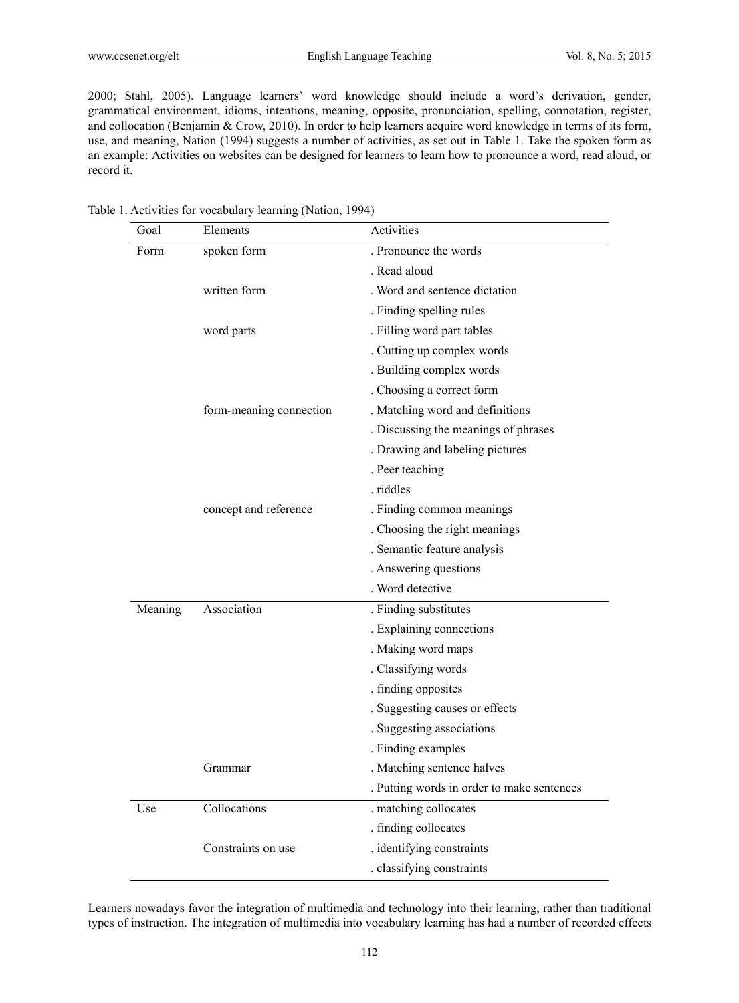2000; Stahl, 2005). Language learners' word knowledge should include a word's derivation, gender, grammatical environment, idioms, intentions, meaning, opposite, pronunciation, spelling, connotation, register, and collocation (Benjamin & Crow, 2010). In order to help learners acquire word knowledge in terms of its form, use, and meaning, Nation (1994) suggests a number of activities, as set out in Table 1. Take the spoken form as an example: Activities on websites can be designed for learners to learn how to pronounce a word, read aloud, or record it.

| Goal    | Elements                | Activities                                 |  |  |  |  |
|---------|-------------------------|--------------------------------------------|--|--|--|--|
| Form    | spoken form             | . Pronounce the words                      |  |  |  |  |
|         |                         | . Read aloud                               |  |  |  |  |
|         | written form            | . Word and sentence dictation              |  |  |  |  |
|         |                         | . Finding spelling rules                   |  |  |  |  |
|         | word parts              | . Filling word part tables                 |  |  |  |  |
|         |                         | . Cutting up complex words                 |  |  |  |  |
|         |                         | . Building complex words                   |  |  |  |  |
|         |                         | . Choosing a correct form                  |  |  |  |  |
|         | form-meaning connection | . Matching word and definitions            |  |  |  |  |
|         |                         | . Discussing the meanings of phrases       |  |  |  |  |
|         |                         | . Drawing and labeling pictures            |  |  |  |  |
|         |                         | . Peer teaching                            |  |  |  |  |
|         |                         | . riddles                                  |  |  |  |  |
|         | concept and reference   | . Finding common meanings                  |  |  |  |  |
|         |                         | . Choosing the right meanings              |  |  |  |  |
|         |                         | . Semantic feature analysis                |  |  |  |  |
|         |                         | . Answering questions                      |  |  |  |  |
|         |                         | . Word detective                           |  |  |  |  |
| Meaning | Association             | . Finding substitutes                      |  |  |  |  |
|         |                         | . Explaining connections                   |  |  |  |  |
|         |                         | . Making word maps                         |  |  |  |  |
|         |                         | . Classifying words                        |  |  |  |  |
|         |                         | . finding opposites                        |  |  |  |  |
|         |                         | . Suggesting causes or effects             |  |  |  |  |
|         |                         | . Suggesting associations                  |  |  |  |  |
|         |                         | . Finding examples                         |  |  |  |  |
|         | Grammar                 | . Matching sentence halves                 |  |  |  |  |
|         |                         | . Putting words in order to make sentences |  |  |  |  |
| Use     | Collocations            | . matching collocates                      |  |  |  |  |
|         |                         | . finding collocates                       |  |  |  |  |
|         | Constraints on use      | . identifying constraints                  |  |  |  |  |
|         |                         | . classifying constraints                  |  |  |  |  |

Table 1. Activities for vocabulary learning (Nation, 1994)

Learners nowadays favor the integration of multimedia and technology into their learning, rather than traditional types of instruction. The integration of multimedia into vocabulary learning has had a number of recorded effects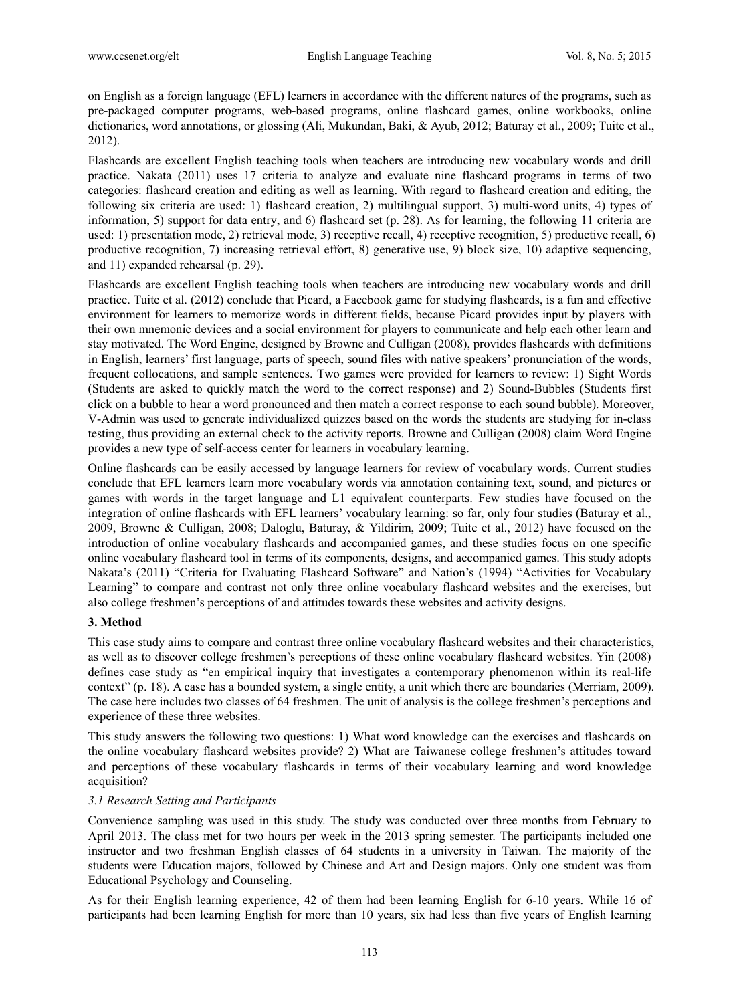on English as a foreign language (EFL) learners in accordance with the different natures of the programs, such as pre-packaged computer programs, web-based programs, online flashcard games, online workbooks, online dictionaries, word annotations, or glossing (Ali, Mukundan, Baki, & Ayub, 2012; Baturay et al., 2009; Tuite et al., 2012).

Flashcards are excellent English teaching tools when teachers are introducing new vocabulary words and drill practice. Nakata (2011) uses 17 criteria to analyze and evaluate nine flashcard programs in terms of two categories: flashcard creation and editing as well as learning. With regard to flashcard creation and editing, the following six criteria are used: 1) flashcard creation, 2) multilingual support, 3) multi-word units, 4) types of information, 5) support for data entry, and 6) flashcard set (p. 28). As for learning, the following 11 criteria are used: 1) presentation mode, 2) retrieval mode, 3) receptive recall, 4) receptive recognition, 5) productive recall, 6) productive recognition, 7) increasing retrieval effort, 8) generative use, 9) block size, 10) adaptive sequencing, and 11) expanded rehearsal (p. 29).

Flashcards are excellent English teaching tools when teachers are introducing new vocabulary words and drill practice. Tuite et al. (2012) conclude that Picard, a Facebook game for studying flashcards, is a fun and effective environment for learners to memorize words in different fields, because Picard provides input by players with their own mnemonic devices and a social environment for players to communicate and help each other learn and stay motivated. The Word Engine, designed by Browne and Culligan (2008), provides flashcards with definitions in English, learners' first language, parts of speech, sound files with native speakers' pronunciation of the words, frequent collocations, and sample sentences. Two games were provided for learners to review: 1) Sight Words (Students are asked to quickly match the word to the correct response) and 2) Sound-Bubbles (Students first click on a bubble to hear a word pronounced and then match a correct response to each sound bubble). Moreover, V-Admin was used to generate individualized quizzes based on the words the students are studying for in-class testing, thus providing an external check to the activity reports. Browne and Culligan (2008) claim Word Engine provides a new type of self-access center for learners in vocabulary learning.

Online flashcards can be easily accessed by language learners for review of vocabulary words. Current studies conclude that EFL learners learn more vocabulary words via annotation containing text, sound, and pictures or games with words in the target language and L1 equivalent counterparts. Few studies have focused on the integration of online flashcards with EFL learners' vocabulary learning: so far, only four studies (Baturay et al., 2009, Browne & Culligan, 2008; Daloglu, Baturay, & Yildirim, 2009; Tuite et al., 2012) have focused on the introduction of online vocabulary flashcards and accompanied games, and these studies focus on one specific online vocabulary flashcard tool in terms of its components, designs, and accompanied games. This study adopts Nakata's (2011) "Criteria for Evaluating Flashcard Software" and Nation's (1994) "Activities for Vocabulary Learning" to compare and contrast not only three online vocabulary flashcard websites and the exercises, but also college freshmen's perceptions of and attitudes towards these websites and activity designs.

# **3. Method**

This case study aims to compare and contrast three online vocabulary flashcard websites and their characteristics, as well as to discover college freshmen's perceptions of these online vocabulary flashcard websites. Yin (2008) defines case study as "en empirical inquiry that investigates a contemporary phenomenon within its real-life context" (p. 18). A case has a bounded system, a single entity, a unit which there are boundaries (Merriam, 2009). The case here includes two classes of 64 freshmen. The unit of analysis is the college freshmen's perceptions and experience of these three websites.

This study answers the following two questions: 1) What word knowledge can the exercises and flashcards on the online vocabulary flashcard websites provide? 2) What are Taiwanese college freshmen's attitudes toward and perceptions of these vocabulary flashcards in terms of their vocabulary learning and word knowledge acquisition?

#### *3.1 Research Setting and Participants*

Convenience sampling was used in this study. The study was conducted over three months from February to April 2013. The class met for two hours per week in the 2013 spring semester. The participants included one instructor and two freshman English classes of 64 students in a university in Taiwan. The majority of the students were Education majors, followed by Chinese and Art and Design majors. Only one student was from Educational Psychology and Counseling.

As for their English learning experience, 42 of them had been learning English for 6-10 years. While 16 of participants had been learning English for more than 10 years, six had less than five years of English learning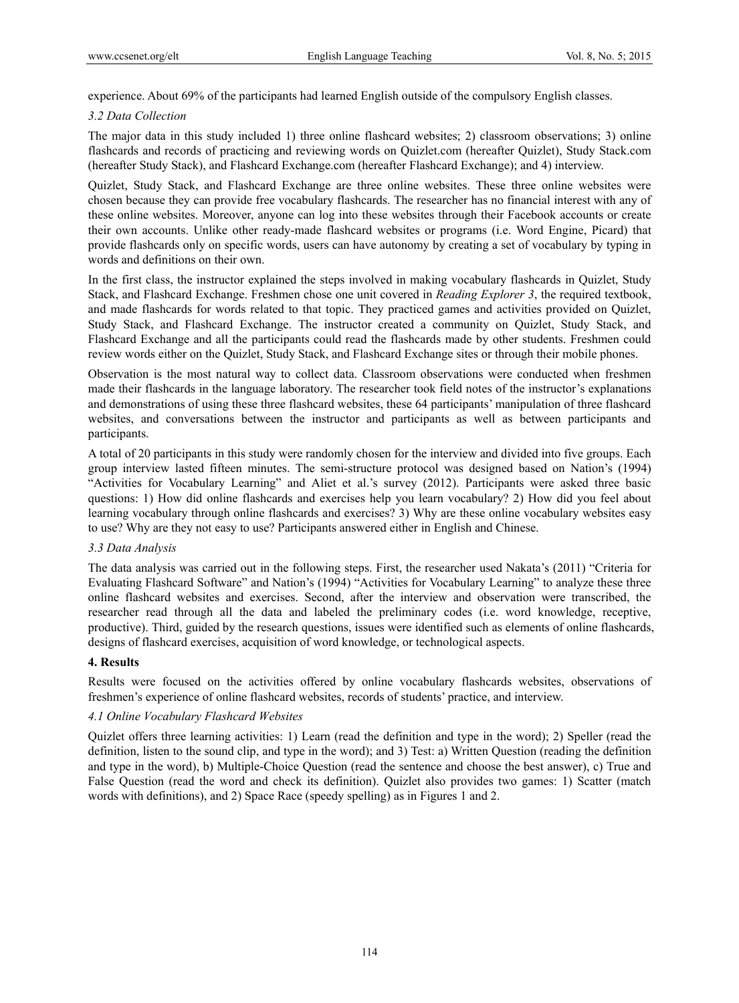experience. About 69% of the participants had learned English outside of the compulsory English classes.

## *3.2 Data Collection*

The major data in this study included 1) three online flashcard websites; 2) classroom observations; 3) online flashcards and records of practicing and reviewing words on Quizlet.com (hereafter Quizlet), Study Stack.com (hereafter Study Stack), and Flashcard Exchange.com (hereafter Flashcard Exchange); and 4) interview.

Quizlet, Study Stack, and Flashcard Exchange are three online websites. These three online websites were chosen because they can provide free vocabulary flashcards. The researcher has no financial interest with any of these online websites. Moreover, anyone can log into these websites through their Facebook accounts or create their own accounts. Unlike other ready-made flashcard websites or programs (i.e. Word Engine, Picard) that provide flashcards only on specific words, users can have autonomy by creating a set of vocabulary by typing in words and definitions on their own.

In the first class, the instructor explained the steps involved in making vocabulary flashcards in Quizlet, Study Stack, and Flashcard Exchange. Freshmen chose one unit covered in *Reading Explorer 3*, the required textbook, and made flashcards for words related to that topic. They practiced games and activities provided on Quizlet, Study Stack, and Flashcard Exchange. The instructor created a community on Quizlet, Study Stack, and Flashcard Exchange and all the participants could read the flashcards made by other students. Freshmen could review words either on the Quizlet, Study Stack, and Flashcard Exchange sites or through their mobile phones.

Observation is the most natural way to collect data. Classroom observations were conducted when freshmen made their flashcards in the language laboratory. The researcher took field notes of the instructor's explanations and demonstrations of using these three flashcard websites, these 64 participants' manipulation of three flashcard websites, and conversations between the instructor and participants as well as between participants and participants.

A total of 20 participants in this study were randomly chosen for the interview and divided into five groups. Each group interview lasted fifteen minutes. The semi-structure protocol was designed based on Nation's (1994) "Activities for Vocabulary Learning" and Aliet et al.'s survey (2012). Participants were asked three basic questions: 1) How did online flashcards and exercises help you learn vocabulary? 2) How did you feel about learning vocabulary through online flashcards and exercises? 3) Why are these online vocabulary websites easy to use? Why are they not easy to use? Participants answered either in English and Chinese.

# *3.3 Data Analysis*

The data analysis was carried out in the following steps. First, the researcher used Nakata's (2011) "Criteria for Evaluating Flashcard Software" and Nation's (1994) "Activities for Vocabulary Learning" to analyze these three online flashcard websites and exercises. Second, after the interview and observation were transcribed, the researcher read through all the data and labeled the preliminary codes (i.e. word knowledge, receptive, productive). Third, guided by the research questions, issues were identified such as elements of online flashcards, designs of flashcard exercises, acquisition of word knowledge, or technological aspects.

#### **4. Results**

Results were focused on the activities offered by online vocabulary flashcards websites, observations of freshmen's experience of online flashcard websites, records of students' practice, and interview.

#### *4.1 Online Vocabulary Flashcard Websites*

Quizlet offers three learning activities: 1) Learn (read the definition and type in the word); 2) Speller (read the definition, listen to the sound clip, and type in the word); and 3) Test: a) Written Question (reading the definition and type in the word), b) Multiple-Choice Question (read the sentence and choose the best answer), c) True and False Question (read the word and check its definition). Quizlet also provides two games: 1) Scatter (match words with definitions), and 2) Space Race (speedy spelling) as in Figures 1 and 2.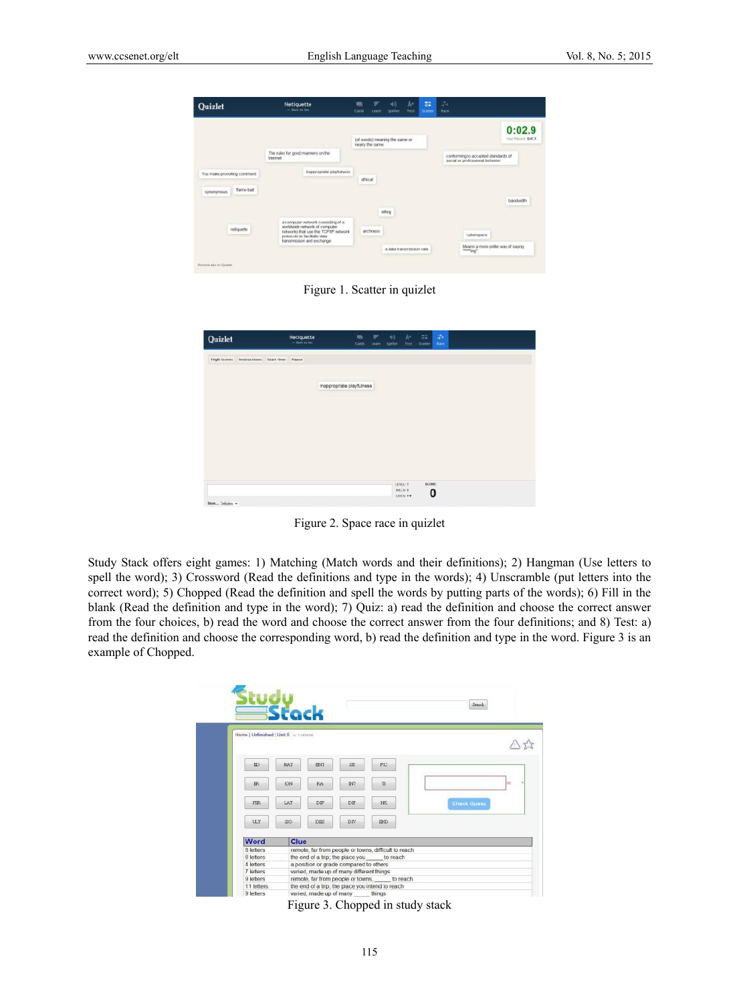| Quizlet                                 | Netiquette<br>- Gentlem Ser-                                                                                                                                                | Cards           | Lease      | мű<br>Speller                  | h-<br>Test | EE.<br><b>Scatter</b> | 24<br>Race                                                             |                             |
|-----------------------------------------|-----------------------------------------------------------------------------------------------------------------------------------------------------------------------------|-----------------|------------|--------------------------------|------------|-----------------------|------------------------------------------------------------------------|-----------------------------|
|                                         |                                                                                                                                                                             | nearly the same |            | (of words) meaning the same or |            |                       |                                                                        | 0:02.9<br>Your Record B47.4 |
|                                         | The rules for good manners on the<br><b>Internet</b>                                                                                                                        |                 |            |                                |            |                       | conferming to accepted standards of<br>social er professional behavior |                             |
| You make provoking comment              | inappropriate playfulness-                                                                                                                                                  | ethical         |            |                                |            |                       |                                                                        |                             |
| flame-bat<br>simingnous                 |                                                                                                                                                                             |                 |            |                                |            |                       |                                                                        |                             |
|                                         |                                                                                                                                                                             |                 |            | effing                         |            |                       |                                                                        | <b>Biandwidth</b>           |
| netiguette                              | a computer network consisting of a<br>worldwide network of computer.<br>networks that use the TCP/IP network.<br>protocols to facilitate data<br>transmission and exchange. |                 | archivesto |                                |            |                       | судетрасе                                                              |                             |
|                                         |                                                                                                                                                                             |                 |            | a data transmission rate       |            |                       | Means a more polite way of saying<br>"torrigg"                         |                             |
| die strategien<br>Returns adv on Casson |                                                                                                                                                                             |                 |            |                                |            |                       |                                                                        |                             |

Figure 1. Scatter in quizlet

| Quizlet                                   | <b>Netiquette</b><br>$-$ fixed in Set | m<br><b>Cards</b>         | ₽<br>Learn: | 哪<br><b>Speller</b> | k.<br>Test | 42<br>Science | 44<br>Race. |  |  |
|-------------------------------------------|---------------------------------------|---------------------------|-------------|---------------------|------------|---------------|-------------|--|--|
| High Scores Instructions Start Over Pause |                                       |                           |             |                     |            |               |             |  |  |
|                                           |                                       | inappropriate playfulness |             |                     |            |               |             |  |  |
|                                           |                                       |                           |             |                     |            |               |             |  |  |
|                                           |                                       |                           |             |                     |            |               |             |  |  |
|                                           |                                       |                           |             |                     |            |               |             |  |  |
|                                           |                                       |                           |             |                     |            |               |             |  |  |

Figure 2. Space race in quizlet

Study Stack offers eight games: 1) Matching (Match words and their definitions); 2) Hangman (Use letters to spell the word); 3) Crossword (Read the definitions and type in the words); 4) Unscramble (put letters into the correct word); 5) Chopped (Read the definition and spell the words by putting parts of the words); 6) Fill in the blank (Read the definition and type in the word); 7) Quiz: a) read the definition and choose the correct answer from the four choices, b) read the word and choose the correct answer from the four definitions; and 8) Test: a) read the definition and choose the corresponding word, b) read the definition and type in the word. Figure 3 is an example of Chopped.

| Home   Unfinished   Unit 5 in steams |            |                                        |                                          |                                                      |                    |  |  |
|--------------------------------------|------------|----------------------------------------|------------------------------------------|------------------------------------------------------|--------------------|--|--|
| ED                                   | NAT        | ENT                                    | SE.                                      | FIC                                                  |                    |  |  |
| ER                                   | <b>KOL</b> | RA                                     | <b>DIT</b>                               | 71                                                   | ×                  |  |  |
| FER                                  | LAT        | DIF                                    | DIF                                      | NK.                                                  | <b>Check Guess</b> |  |  |
| ULT                                  | <b>ISO</b> | DBS                                    | DIV                                      | <b>END</b>                                           |                    |  |  |
| Word                                 | Clue       |                                        |                                          |                                                      |                    |  |  |
| 8 letters                            |            |                                        |                                          | remote, far from people or towns, difficult to reach |                    |  |  |
| 6 letters                            |            |                                        |                                          | the end of a trip; the place you to reach            |                    |  |  |
| 4 letters                            |            | a position or grade compared to others |                                          |                                                      |                    |  |  |
| 7 letters                            |            |                                        | varied, made up of many different things |                                                      |                    |  |  |
| 9 letters                            |            |                                        |                                          | remote, far from people or towns, to reach           |                    |  |  |
| 11 letters                           |            |                                        |                                          | the end of a trip; the place you intend to reach     |                    |  |  |
| 9 letters                            |            | varied, made up of many                |                                          | things                                               |                    |  |  |

Figure 3. Chopped in study stack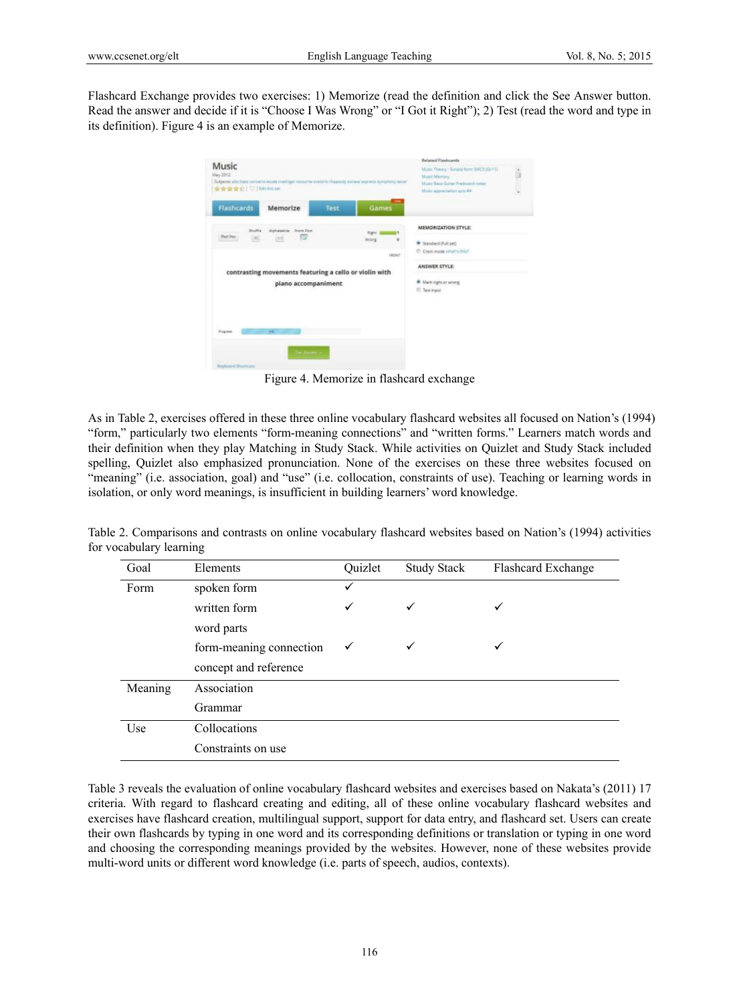Flashcard Exchange provides two exercises: 1) Memorize (read the definition and click the See Answer button. Read the answer and decide if it is "Choose I Was Wrong" or "I Got it Right"); 2) Test (read the word and type in its definition). Figure 4 is an example of Memorize.

| Music<br>May 2012<br>★★★★☆   ♡ [Eiltimisse) |                                                        |      | Subjects: alta base sonorre esule meditgel resturte scetoric chapsely senese seprena synationy sene | <b>Belated Flashcerds</b><br>Music Theory - Sonnia form SMCS (G/11)<br>Masic Memory<br>Muste Base Guitar Frettoant nisse<br>Music approxiation quic int |  |
|---------------------------------------------|--------------------------------------------------------|------|-----------------------------------------------------------------------------------------------------|---------------------------------------------------------------------------------------------------------------------------------------------------------|--|
| <b>Flashcards</b>                           | Memorize                                               | Test | Games                                                                                               |                                                                                                                                                         |  |
| Shuttle<br>Darl Ivy                         | <b>Alphabetos Digne First</b><br>n.                    |      | <b>Staff</b>                                                                                        | MEMORIZATION STYLE:                                                                                                                                     |  |
| 25                                          | $ \Lambda $                                            |      | World<br>٠<br><b>FRONT</b>                                                                          | * Standard (Full sec)<br>C Cram mode what's third                                                                                                       |  |
|                                             | contrasting movements featuring a cello or violin with |      |                                                                                                     | ANSWER STYLE:                                                                                                                                           |  |
|                                             | piano accompaniment                                    |      |                                                                                                     | @ Mark right ar wring<br><sup>(2)</sup> Text Viput                                                                                                      |  |
| <b>Drugmann</b>                             | w                                                      |      |                                                                                                     |                                                                                                                                                         |  |
|                                             | The Assner is                                          |      |                                                                                                     |                                                                                                                                                         |  |

Figure 4. Memorize in flashcard exchange

As in Table 2, exercises offered in these three online vocabulary flashcard websites all focused on Nation's (1994) "form," particularly two elements "form-meaning connections" and "written forms." Learners match words and their definition when they play Matching in Study Stack. While activities on Quizlet and Study Stack included spelling, Quizlet also emphasized pronunciation. None of the exercises on these three websites focused on "meaning" (i.e. association, goal) and "use" (i.e. collocation, constraints of use). Teaching or learning words in isolation, or only word meanings, is insufficient in building learners' word knowledge.

| Goal    | Elements                | Quizlet      | <b>Study Stack</b> | <b>Flashcard Exchange</b> |
|---------|-------------------------|--------------|--------------------|---------------------------|
| Form    | spoken form             | ✓            |                    |                           |
|         | written form            | $\checkmark$ | ✓                  | ✓                         |
|         | word parts              |              |                    |                           |
|         | form-meaning connection | ✓            | ✓                  |                           |
|         | concept and reference   |              |                    |                           |
| Meaning | Association             |              |                    |                           |
|         | Grammar                 |              |                    |                           |
| Use     | Collocations            |              |                    |                           |
|         | Constraints on use      |              |                    |                           |

Table 2. Comparisons and contrasts on online vocabulary flashcard websites based on Nation's (1994) activities for vocabulary learning

Table 3 reveals the evaluation of online vocabulary flashcard websites and exercises based on Nakata's (2011) 17 criteria. With regard to flashcard creating and editing, all of these online vocabulary flashcard websites and exercises have flashcard creation, multilingual support, support for data entry, and flashcard set. Users can create their own flashcards by typing in one word and its corresponding definitions or translation or typing in one word and choosing the corresponding meanings provided by the websites. However, none of these websites provide multi-word units or different word knowledge (i.e. parts of speech, audios, contexts).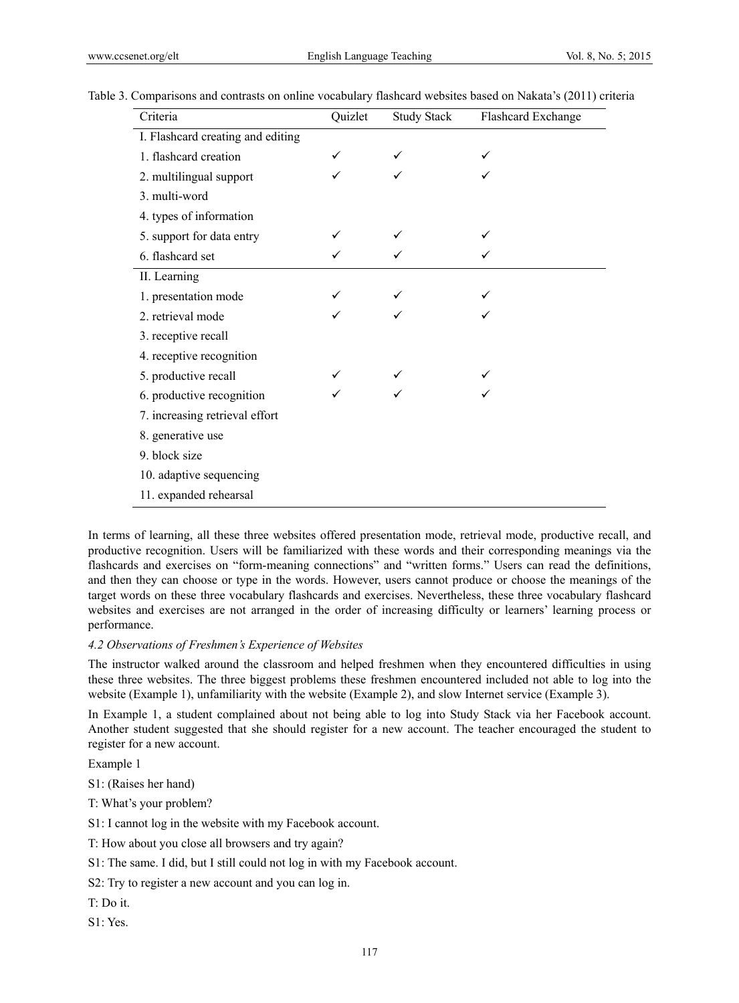| Criteria                          | Quizlet | <b>Study Stack</b> | Flashcard Exchange |
|-----------------------------------|---------|--------------------|--------------------|
| I. Flashcard creating and editing |         |                    |                    |
| 1. flashcard creation             |         |                    |                    |
| 2. multilingual support           |         |                    |                    |
| 3. multi-word                     |         |                    |                    |
| 4. types of information           |         |                    |                    |
| 5. support for data entry         |         |                    |                    |
| 6. flashcard set                  |         |                    |                    |
| II. Learning                      |         |                    |                    |
| 1. presentation mode              |         |                    |                    |
| 2. retrieval mode                 |         |                    |                    |
| 3. receptive recall               |         |                    |                    |
| 4. receptive recognition          |         |                    |                    |
| 5. productive recall              |         |                    |                    |
| 6. productive recognition         |         |                    |                    |
| 7. increasing retrieval effort    |         |                    |                    |
| 8. generative use                 |         |                    |                    |
| 9. block size                     |         |                    |                    |
| 10. adaptive sequencing           |         |                    |                    |
| 11. expanded rehearsal            |         |                    |                    |

## Table 3. Comparisons and contrasts on online vocabulary flashcard websites based on Nakata's (2011) criteria

In terms of learning, all these three websites offered presentation mode, retrieval mode, productive recall, and productive recognition. Users will be familiarized with these words and their corresponding meanings via the flashcards and exercises on "form-meaning connections" and "written forms." Users can read the definitions, and then they can choose or type in the words. However, users cannot produce or choose the meanings of the target words on these three vocabulary flashcards and exercises. Nevertheless, these three vocabulary flashcard websites and exercises are not arranged in the order of increasing difficulty or learners' learning process or performance.

#### *4.2 Observations of Freshmen's Experience of Websites*

The instructor walked around the classroom and helped freshmen when they encountered difficulties in using these three websites. The three biggest problems these freshmen encountered included not able to log into the website (Example 1), unfamiliarity with the website (Example 2), and slow Internet service (Example 3).

In Example 1, a student complained about not being able to log into Study Stack via her Facebook account. Another student suggested that she should register for a new account. The teacher encouraged the student to register for a new account.

Example 1

S1: (Raises her hand)

T: What's your problem?

S1: I cannot log in the website with my Facebook account.

T: How about you close all browsers and try again?

S1: The same. I did, but I still could not log in with my Facebook account.

S2: Try to register a new account and you can log in.

T: Do it.

S1: Yes.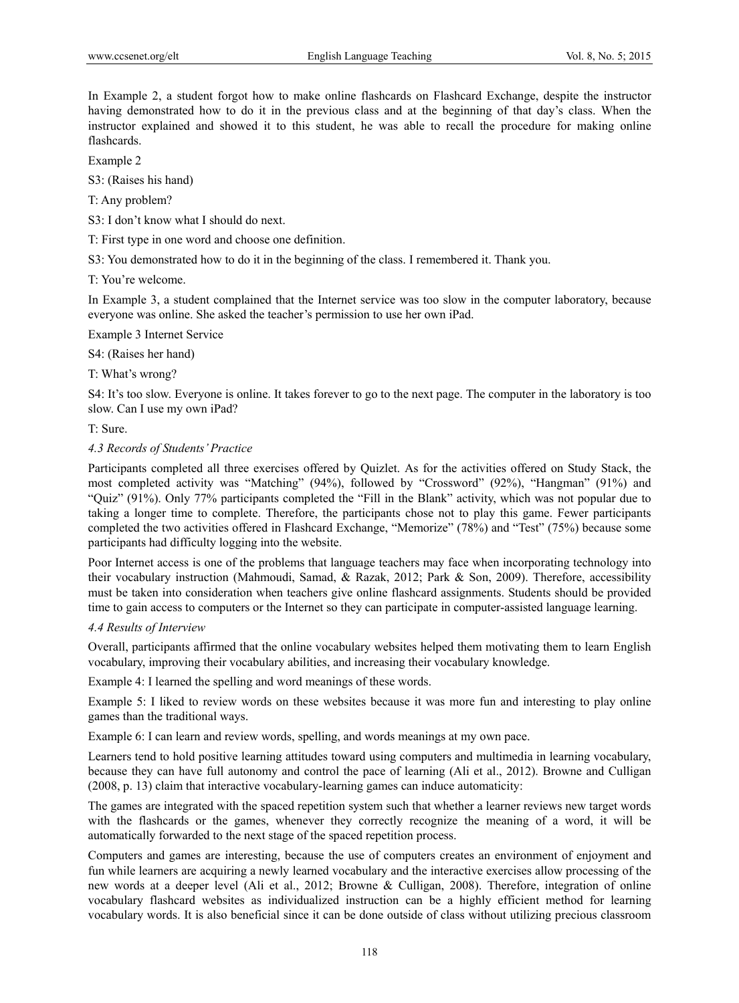In Example 2, a student forgot how to make online flashcards on Flashcard Exchange, despite the instructor having demonstrated how to do it in the previous class and at the beginning of that day's class. When the instructor explained and showed it to this student, he was able to recall the procedure for making online flashcards.

Example 2

S3: (Raises his hand)

T: Any problem?

S3: I don't know what I should do next.

T: First type in one word and choose one definition.

S3: You demonstrated how to do it in the beginning of the class. I remembered it. Thank you.

T: You're welcome.

In Example 3, a student complained that the Internet service was too slow in the computer laboratory, because everyone was online. She asked the teacher's permission to use her own iPad.

Example 3 Internet Service

S4: (Raises her hand)

T: What's wrong?

S4: It's too slow. Everyone is online. It takes forever to go to the next page. The computer in the laboratory is too slow. Can I use my own iPad?

T: Sure.

#### *4.3 Records of Students' Practice*

Participants completed all three exercises offered by Quizlet. As for the activities offered on Study Stack, the most completed activity was "Matching" (94%), followed by "Crossword" (92%), "Hangman" (91%) and "Quiz" (91%). Only 77% participants completed the "Fill in the Blank" activity, which was not popular due to taking a longer time to complete. Therefore, the participants chose not to play this game. Fewer participants completed the two activities offered in Flashcard Exchange, "Memorize" (78%) and "Test" (75%) because some participants had difficulty logging into the website.

Poor Internet access is one of the problems that language teachers may face when incorporating technology into their vocabulary instruction (Mahmoudi, Samad, & Razak, 2012; Park & Son, 2009). Therefore, accessibility must be taken into consideration when teachers give online flashcard assignments. Students should be provided time to gain access to computers or the Internet so they can participate in computer-assisted language learning.

#### *4.4 Results of Interview*

Overall, participants affirmed that the online vocabulary websites helped them motivating them to learn English vocabulary, improving their vocabulary abilities, and increasing their vocabulary knowledge.

Example 4: I learned the spelling and word meanings of these words.

Example 5: I liked to review words on these websites because it was more fun and interesting to play online games than the traditional ways.

Example 6: I can learn and review words, spelling, and words meanings at my own pace.

Learners tend to hold positive learning attitudes toward using computers and multimedia in learning vocabulary, because they can have full autonomy and control the pace of learning (Ali et al., 2012). Browne and Culligan (2008, p. 13) claim that interactive vocabulary-learning games can induce automaticity:

The games are integrated with the spaced repetition system such that whether a learner reviews new target words with the flashcards or the games, whenever they correctly recognize the meaning of a word, it will be automatically forwarded to the next stage of the spaced repetition process.

Computers and games are interesting, because the use of computers creates an environment of enjoyment and fun while learners are acquiring a newly learned vocabulary and the interactive exercises allow processing of the new words at a deeper level (Ali et al., 2012; Browne & Culligan, 2008). Therefore, integration of online vocabulary flashcard websites as individualized instruction can be a highly efficient method for learning vocabulary words. It is also beneficial since it can be done outside of class without utilizing precious classroom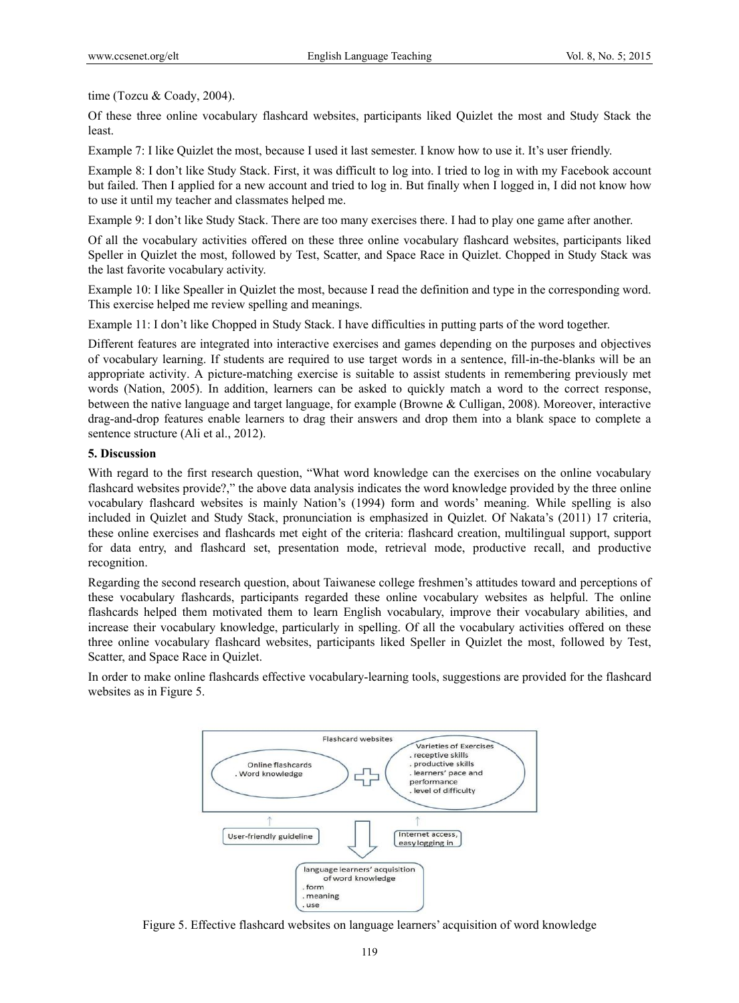time (Tozcu & Coady, 2004).

Of these three online vocabulary flashcard websites, participants liked Quizlet the most and Study Stack the least.

Example 7: I like Quizlet the most, because I used it last semester. I know how to use it. It's user friendly.

Example 8: I don't like Study Stack. First, it was difficult to log into. I tried to log in with my Facebook account but failed. Then I applied for a new account and tried to log in. But finally when I logged in, I did not know how to use it until my teacher and classmates helped me.

Example 9: I don't like Study Stack. There are too many exercises there. I had to play one game after another.

Of all the vocabulary activities offered on these three online vocabulary flashcard websites, participants liked Speller in Quizlet the most, followed by Test, Scatter, and Space Race in Quizlet. Chopped in Study Stack was the last favorite vocabulary activity.

Example 10: I like Spealler in Quizlet the most, because I read the definition and type in the corresponding word. This exercise helped me review spelling and meanings.

Example 11: I don't like Chopped in Study Stack. I have difficulties in putting parts of the word together.

Different features are integrated into interactive exercises and games depending on the purposes and objectives of vocabulary learning. If students are required to use target words in a sentence, fill-in-the-blanks will be an appropriate activity. A picture-matching exercise is suitable to assist students in remembering previously met words (Nation, 2005). In addition, learners can be asked to quickly match a word to the correct response, between the native language and target language, for example (Browne & Culligan, 2008). Moreover, interactive drag-and-drop features enable learners to drag their answers and drop them into a blank space to complete a sentence structure (Ali et al., 2012).

## **5. Discussion**

With regard to the first research question, "What word knowledge can the exercises on the online vocabulary flashcard websites provide?," the above data analysis indicates the word knowledge provided by the three online vocabulary flashcard websites is mainly Nation's (1994) form and words' meaning. While spelling is also included in Quizlet and Study Stack, pronunciation is emphasized in Quizlet. Of Nakata's (2011) 17 criteria, these online exercises and flashcards met eight of the criteria: flashcard creation, multilingual support, support for data entry, and flashcard set, presentation mode, retrieval mode, productive recall, and productive recognition.

Regarding the second research question, about Taiwanese college freshmen's attitudes toward and perceptions of these vocabulary flashcards, participants regarded these online vocabulary websites as helpful. The online flashcards helped them motivated them to learn English vocabulary, improve their vocabulary abilities, and increase their vocabulary knowledge, particularly in spelling. Of all the vocabulary activities offered on these three online vocabulary flashcard websites, participants liked Speller in Quizlet the most, followed by Test, Scatter, and Space Race in Quizlet.

In order to make online flashcards effective vocabulary-learning tools, suggestions are provided for the flashcard websites as in Figure 5.



Figure 5. Effective flashcard websites on language learners' acquisition of word knowledge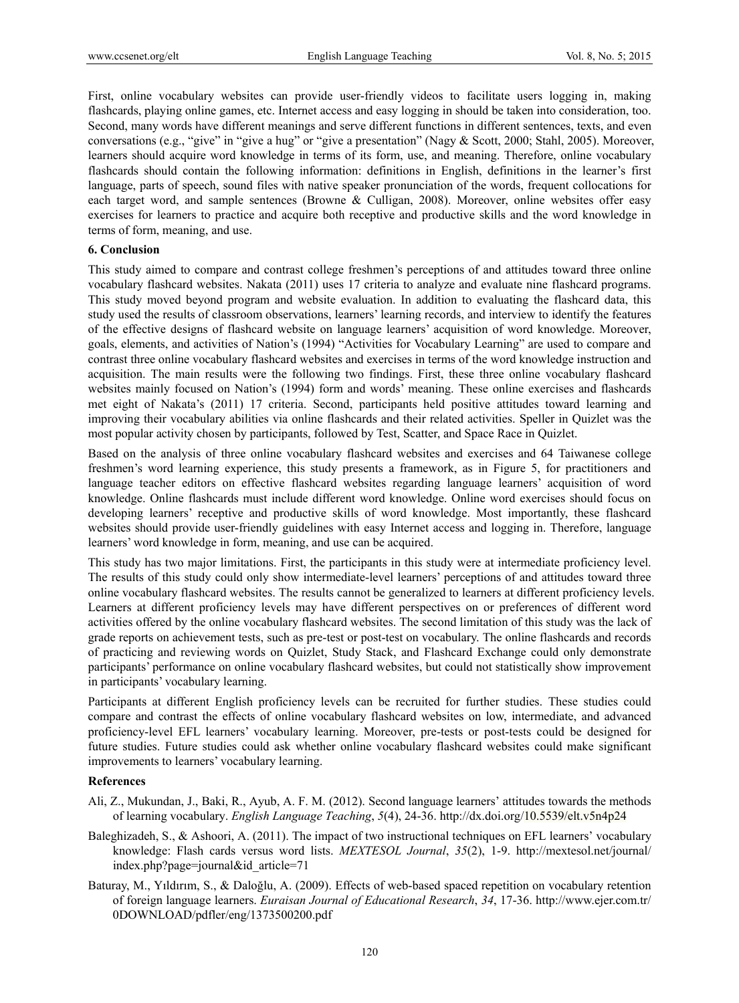First, online vocabulary websites can provide user-friendly videos to facilitate users logging in, making flashcards, playing online games, etc. Internet access and easy logging in should be taken into consideration, too. Second, many words have different meanings and serve different functions in different sentences, texts, and even conversations (e.g., "give" in "give a hug" or "give a presentation" (Nagy & Scott, 2000; Stahl, 2005). Moreover, learners should acquire word knowledge in terms of its form, use, and meaning. Therefore, online vocabulary flashcards should contain the following information: definitions in English, definitions in the learner's first language, parts of speech, sound files with native speaker pronunciation of the words, frequent collocations for each target word, and sample sentences (Browne & Culligan, 2008). Moreover, online websites offer easy exercises for learners to practice and acquire both receptive and productive skills and the word knowledge in terms of form, meaning, and use.

# **6. Conclusion**

This study aimed to compare and contrast college freshmen's perceptions of and attitudes toward three online vocabulary flashcard websites. Nakata (2011) uses 17 criteria to analyze and evaluate nine flashcard programs. This study moved beyond program and website evaluation. In addition to evaluating the flashcard data, this study used the results of classroom observations, learners' learning records, and interview to identify the features of the effective designs of flashcard website on language learners' acquisition of word knowledge. Moreover, goals, elements, and activities of Nation's (1994) "Activities for Vocabulary Learning" are used to compare and contrast three online vocabulary flashcard websites and exercises in terms of the word knowledge instruction and acquisition. The main results were the following two findings. First, these three online vocabulary flashcard websites mainly focused on Nation's (1994) form and words' meaning. These online exercises and flashcards met eight of Nakata's (2011) 17 criteria. Second, participants held positive attitudes toward learning and improving their vocabulary abilities via online flashcards and their related activities. Speller in Quizlet was the most popular activity chosen by participants, followed by Test, Scatter, and Space Race in Quizlet.

Based on the analysis of three online vocabulary flashcard websites and exercises and 64 Taiwanese college freshmen's word learning experience, this study presents a framework, as in Figure 5, for practitioners and language teacher editors on effective flashcard websites regarding language learners' acquisition of word knowledge. Online flashcards must include different word knowledge. Online word exercises should focus on developing learners' receptive and productive skills of word knowledge. Most importantly, these flashcard websites should provide user-friendly guidelines with easy Internet access and logging in. Therefore, language learners' word knowledge in form, meaning, and use can be acquired.

This study has two major limitations. First, the participants in this study were at intermediate proficiency level. The results of this study could only show intermediate-level learners' perceptions of and attitudes toward three online vocabulary flashcard websites. The results cannot be generalized to learners at different proficiency levels. Learners at different proficiency levels may have different perspectives on or preferences of different word activities offered by the online vocabulary flashcard websites. The second limitation of this study was the lack of grade reports on achievement tests, such as pre-test or post-test on vocabulary. The online flashcards and records of practicing and reviewing words on Quizlet, Study Stack, and Flashcard Exchange could only demonstrate participants' performance on online vocabulary flashcard websites, but could not statistically show improvement in participants' vocabulary learning.

Participants at different English proficiency levels can be recruited for further studies. These studies could compare and contrast the effects of online vocabulary flashcard websites on low, intermediate, and advanced proficiency-level EFL learners' vocabulary learning. Moreover, pre-tests or post-tests could be designed for future studies. Future studies could ask whether online vocabulary flashcard websites could make significant improvements to learners' vocabulary learning.

#### **References**

- Ali, Z., Mukundan, J., Baki, R., Ayub, A. F. M. (2012). Second language learners' attitudes towards the methods of learning vocabulary. *English Language Teaching*, *5*(4), 24-36. http://dx.doi.org/10.5539/elt.v5n4p24
- Baleghizadeh, S., & Ashoori, A. (2011). The impact of two instructional techniques on EFL learners' vocabulary knowledge: Flash cards versus word lists. *MEXTESOL Journal*, *35*(2), 1-9. http://mextesol.net/journal/ index.php?page=journal&id\_article=71
- Baturay, M., Yıldırım, S., & Daloğlu, A. (2009). Effects of web-based spaced repetition on vocabulary retention of foreign language learners. *Euraisan Journal of Educational Research*, *34*, 17-36. http://www.ejer.com.tr/ 0DOWNLOAD/pdfler/eng/1373500200.pdf